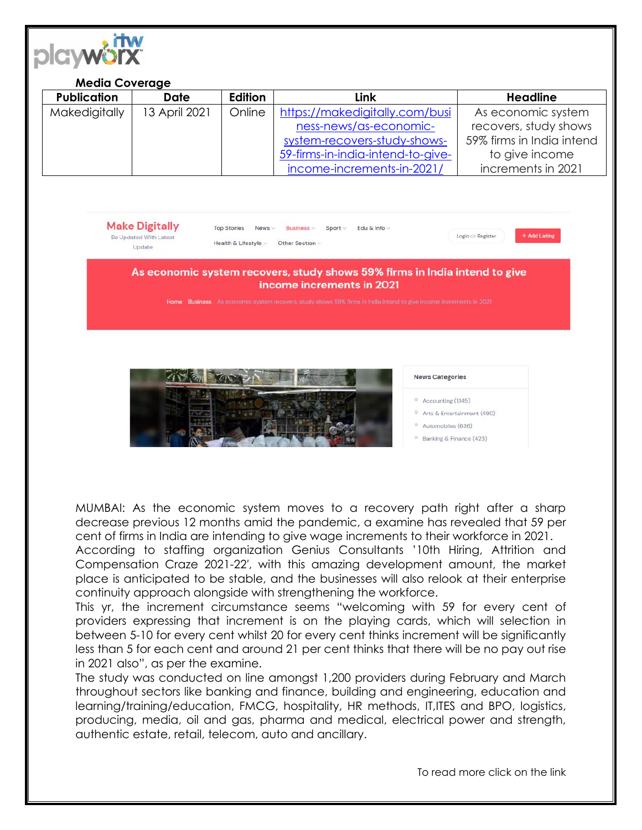

| <b>Media Coverage</b> |               |         |                                   |                    |
|-----------------------|---------------|---------|-----------------------------------|--------------------|
| <b>Publication</b>    | Date          | Edition | Link                              | <b>Headline</b>    |
| <b>Makedigitally</b>  | 13 April 2021 | Online  | https://makedigitally.com/busi    | As economic s      |
|                       |               |         | ness-news/as-economic-            | recovers, study    |
|                       |               |         | system-recovers-study-shows-      | 59% firms in Indic |
|                       |               |         | 59-firms-in-india-intend-to-give- | to give inco       |



[income-increments-in-2021/](https://makedigitally.com/business-news/as-economic-system-recovers-study-shows-59-firms-in-india-intend-to-give-income-increments-in-2021/)



MUMBAI: As the economic system moves to a recovery path right after a sharp decrease previous 12 months amid the pandemic, a examine has revealed that 59 per cent of firms in India are intending to give wage increments to their workforce in 2021.

According to staffing organization Genius Consultants '10th Hiring, Attrition and Compensation Craze 2021-22′, with this amazing development amount, the market place is anticipated to be stable, and the businesses will also relook at their enterprise continuity approach alongside with strengthening the workforce.

This yr, the increment circumstance seems "welcoming with 59 for every cent of providers expressing that increment is on the playing cards, which will selection in between 5-10 for every cent whilst 20 for every cent thinks increment will be significantly less than 5 for each cent and around 21 per cent thinks that there will be no pay out rise in 2021 also", as per the examine.

The study was conducted on line amongst 1,200 providers during February and March throughout sectors like banking and finance, building and engineering, education and learning/training/education, FMCG, hospitality, HR methods, IT,ITES and BPO, logistics, producing, media, oil and gas, pharma and medical, electrical power and strength, authentic estate, retail, telecom, auto and ancillary.

As economic system recovers, study shows 59% firms in India intend to give income increments in 2021